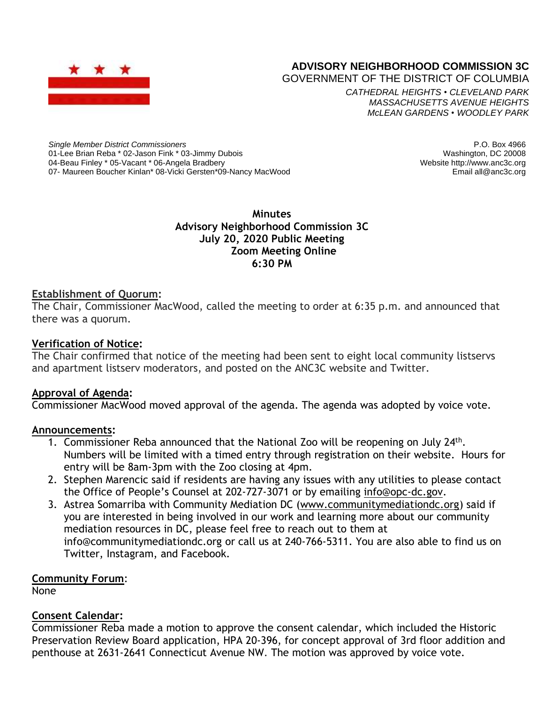

# **ADVISORY NEIGHBORHOOD COMMISSION 3C**

GOVERNMENT OF THE DISTRICT OF COLUMBIA

*CATHEDRAL HEIGHTS* • *CLEVELAND PARK MASSACHUSETTS AVENUE HEIGHTS McLEAN GARDENS* • *WOODLEY PARK*

*Single Member District Commissioners* 01-Lee Brian Reba \* 02-Jason Fink \* 03-Jimmy Dubois 04-Beau Finley \* 05-Vacant \* 06-Angela Bradbery 07- Maureen Boucher Kinlan\* 08-Vicki Gersten\*09-Nancy MacWood

P.O. Box 4966 Washington, DC 20008 Website http://www.anc3c.org Email all@anc3c.org

**Minutes Advisory Neighborhood Commission 3C July 20, 2020 Public Meeting Zoom Meeting Online 6:30 PM**

#### **Establishment of Quorum:**

The Chair, Commissioner MacWood, called the meeting to order at 6:35 p.m. and announced that there was a quorum.

#### **Verification of Notice:**

The Chair confirmed that notice of the meeting had been sent to eight local community listservs and apartment listserv moderators, and posted on the ANC3C website and Twitter.

#### **Approval of Agenda:**

Commissioner MacWood moved approval of the agenda. The agenda was adopted by voice vote.

#### **Announcements:**

- 1. Commissioner Reba announced that the National Zoo will be reopening on July 24<sup>th</sup>. Numbers will be limited with a timed entry through registration on their website. Hours for entry will be 8am-3pm with the Zoo closing at 4pm.
- 2. Stephen Marencic said if residents are having any issues with any utilities to please contact the Office of People's Counsel at 202-727-3071 or by emailing [info@opc-dc.gov.](mailto:info@opc-dc.gov)
- 3. Astrea Somarriba with Community Mediation DC [\(www.communitymediationdc.org\)](http://www.communitymediationdc.org/) said if you are interested in being involved in our work and learning more about our community mediation resources in DC, please feel free to reach out to them at info@communitymediationdc.org or call us at 240-766-5311. You are also able to find us on Twitter, Instagram, and Facebook.

## **Community Forum**:

None

## **Consent Calendar:**

Commissioner Reba made a motion to approve the consent calendar, which included the Historic Preservation Review Board application, HPA 20-396, for concept approval of 3rd floor addition and penthouse at 2631-2641 Connecticut Avenue NW. The motion was approved by voice vote.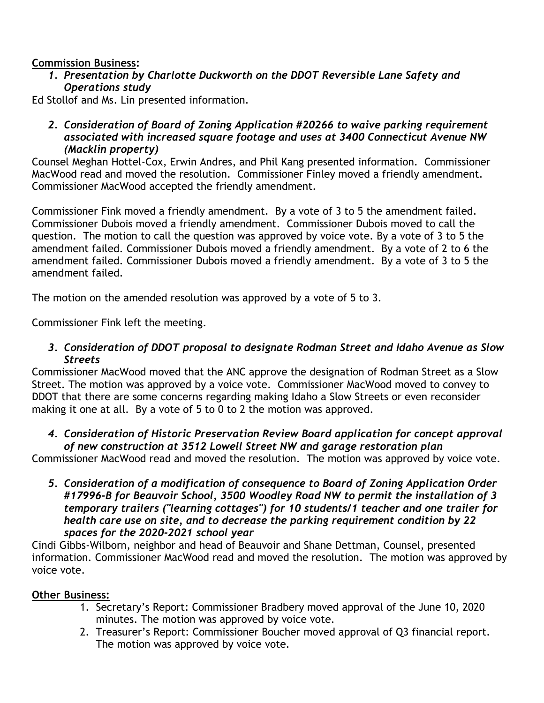## **Commission Business:**

*1. Presentation by Charlotte Duckworth on the DDOT Reversible Lane Safety and Operations study*

Ed Stollof and Ms. Lin presented information.

*2. Consideration of Board of Zoning Application #20266 to waive parking requirement associated with increased square footage and uses at 3400 Connecticut Avenue NW (Macklin property)*

Counsel Meghan Hottel-Cox, Erwin Andres, and Phil Kang presented information. Commissioner MacWood read and moved the resolution. Commissioner Finley moved a friendly amendment. Commissioner MacWood accepted the friendly amendment.

Commissioner Fink moved a friendly amendment. By a vote of 3 to 5 the amendment failed. Commissioner Dubois moved a friendly amendment. Commissioner Dubois moved to call the question. The motion to call the question was approved by voice vote. By a vote of 3 to 5 the amendment failed. Commissioner Dubois moved a friendly amendment. By a vote of 2 to 6 the amendment failed. Commissioner Dubois moved a friendly amendment. By a vote of 3 to 5 the amendment failed.

The motion on the amended resolution was approved by a vote of 5 to 3.

Commissioner Fink left the meeting.

*3. Consideration of DDOT proposal to designate Rodman Street and Idaho Avenue as Slow Streets*

Commissioner MacWood moved that the ANC approve the designation of Rodman Street as a Slow Street. The motion was approved by a voice vote. Commissioner MacWood moved to convey to DDOT that there are some concerns regarding making Idaho a Slow Streets or even reconsider making it one at all. By a vote of 5 to 0 to 2 the motion was approved.

## *4. Consideration of Historic Preservation Review Board application for concept approval of new construction at 3512 Lowell Street NW and garage restoration plan*

Commissioner MacWood read and moved the resolution. The motion was approved by voice vote.

*5. Consideration of a modification of consequence to Board of Zoning Application Order #17996-B for Beauvoir School, 3500 Woodley Road NW to permit the installation of 3 temporary trailers ("learning cottages") for 10 students/1 teacher and one trailer for health care use on site, and to decrease the parking requirement condition by 22 spaces for the 2020-2021 school year*

Cindi Gibbs-Wilborn, neighbor and head of Beauvoir and Shane Dettman, Counsel, presented information. Commissioner MacWood read and moved the resolution. The motion was approved by voice vote.

## **Other Business:**

- 1. Secretary's Report: Commissioner Bradbery moved approval of the June 10, 2020 minutes. The motion was approved by voice vote.
- 2. Treasurer's Report: Commissioner Boucher moved approval of Q3 financial report. The motion was approved by voice vote.